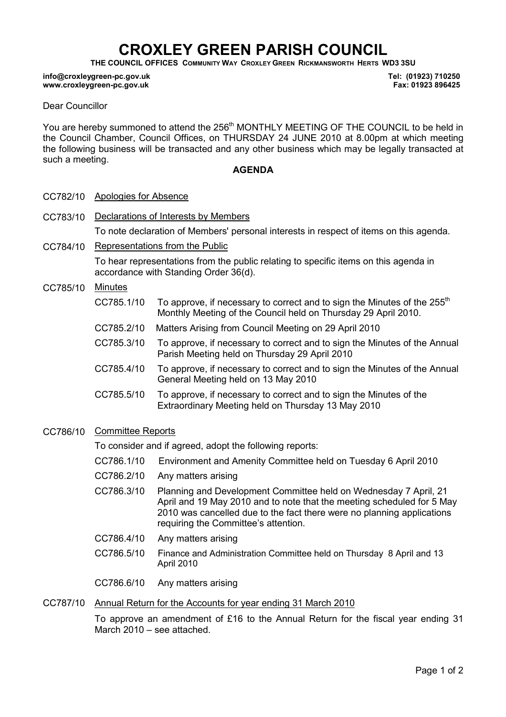# CROXLEY GREEN PARISH COUNCIL

THE COUNCIL OFFICES COMMUNITY WAY CROXLEY GREEN RICKMANSWORTH HERTS WD3 3SU

#### info@croxleygreen-pc.gov.uk www.croxleygreen-pc.gov.uk

Tel: (01923) 710250 Fax: 01923 896425

### Dear Councillor

You are hereby summoned to attend the 256<sup>th</sup> MONTHLY MEETING OF THE COUNCIL to be held in the Council Chamber, Council Offices, on THURSDAY 24 JUNE 2010 at 8.00pm at which meeting the following business will be transacted and any other business which may be legally transacted at such a meeting.

### AGENDA

- CC782/10 Apologies for Absence
- CC783/10 Declarations of Interests by Members To note declaration of Members' personal interests in respect of items on this agenda.
- CC784/10 Representations from the Public To hear representations from the public relating to specific items on this agenda in accordance with Standing Order 36(d).

### CC785/10 Minutes

- CC785.1/10 To approve, if necessary to correct and to sign the Minutes of the  $255<sup>th</sup>$ Monthly Meeting of the Council held on Thursday 29 April 2010.
- CC785.2/10 Matters Arising from Council Meeting on 29 April 2010
- CC785.3/10 To approve, if necessary to correct and to sign the Minutes of the Annual Parish Meeting held on Thursday 29 April 2010
- CC785.4/10 To approve, if necessary to correct and to sign the Minutes of the Annual General Meeting held on 13 May 2010
- CC785.5/10 To approve, if necessary to correct and to sign the Minutes of the Extraordinary Meeting held on Thursday 13 May 2010

## CC786/10 Committee Reports

To consider and if agreed, adopt the following reports:

- CC786.1/10 Environment and Amenity Committee held on Tuesday 6 April 2010
- CC786.2/10 Any matters arising
- CC786.3/10 Planning and Development Committee held on Wednesday 7 April, 21 April and 19 May 2010 and to note that the meeting scheduled for 5 May 2010 was cancelled due to the fact there were no planning applications requiring the Committee's attention.
- CC786.4/10 Any matters arising
- CC786.5/10 Finance and Administration Committee held on Thursday 8 April and 13 April 2010
- CC786.6/10 Any matters arising

#### CC787/10 Annual Return for the Accounts for year ending 31 March 2010

To approve an amendment of £16 to the Annual Return for the fiscal year ending 31 March 2010 – see attached.